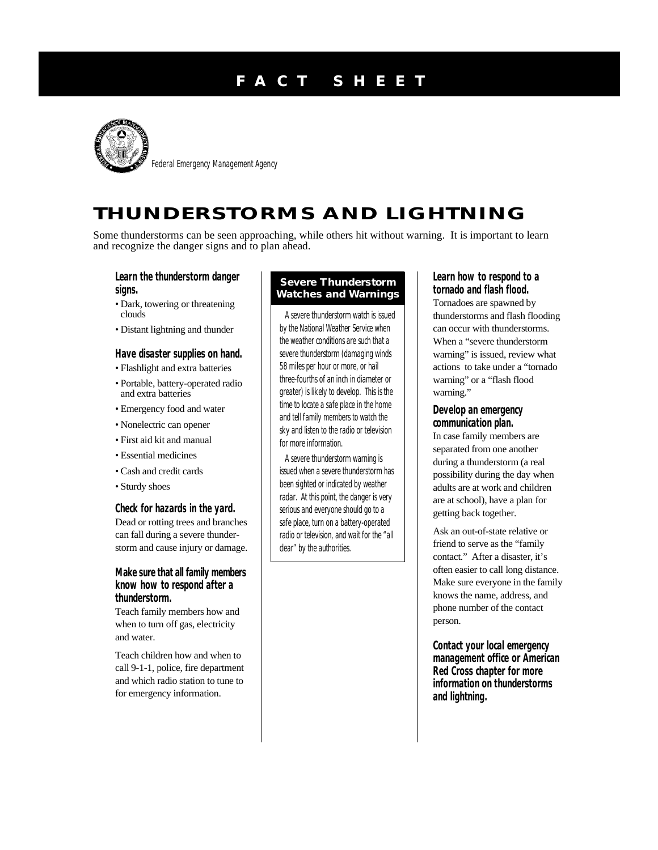# **F A C T S H E E T**



Federal Emergency Management Agency

# **THUNDERSTORMS AND LIGHTNING**

Some thunderstorms can be seen approaching, while others hit without warning. It is important to learn and recognize the danger signs and to plan ahead.

**Learn the thunderstorm danger signs.**

- Dark, towering or threatening clouds
- Distant lightning and thunder

**Have disaster supplies on hand.**

• Flashlight and extra batteries

- Portable, battery-operated radio and extra batteries
- Emergency food and water
- Nonelectric can opener
- First aid kit and manual
- Essential medicines
- Cash and credit cards
- Sturdy shoes

**Check for hazards in the yard.** Dead or rotting trees and branches can fall during a severe thunderstorm and cause injury or damage.

**Make sure that all family members know how to respond after a thunderstorm.**

Teach family members how and when to turn off gas, electricity and water.

Teach children how and when to call 9-1-1, police, fire department and which radio station to tune to for emergency information.

## **Severe Thunderstorm Watches and Warnings**

A *severe thunderstorm watch* is issued by the National Weather Service when the weather conditions are such that a severe thunderstorm (damaging winds 58 miles per hour or more, or hail three-fourths of an inch in diameter or greater) is likely to develop. This is the time to locate a safe place in the home and tell family members to watch the sky and listen to the radio or television for more information.

A *severe thunderstorm warning* is issued when a severe thunderstorm has been sighted or indicated by weather radar. At this point, the danger is very serious and everyone should go to a safe place, turn on a battery-operated radio or television, and wait for the "all clear" by the authorities.

**Learn how to respond to a tornado and flash flood.** Tornadoes are spawned by thunderstorms and flash flooding can occur with thunderstorms. When a "severe thunderstorm warning" is issued, review what actions to take under a "tornado warning" or a "flash flood warning."

**Develop an emergency communication plan.** In case family members are separated from one another during a thunderstorm (a real possibility during the day when adults are at work and children are at school), have a plan for getting back together.

Ask an out-of-state relative or friend to serve as the "family contact." After a disaster, it's often easier to call long distance. Make sure everyone in the family knows the name, address, and phone number of the contact person.

**Contact your local emergency management office or American Red Cross chapter for more information on thunderstorms and lightning.**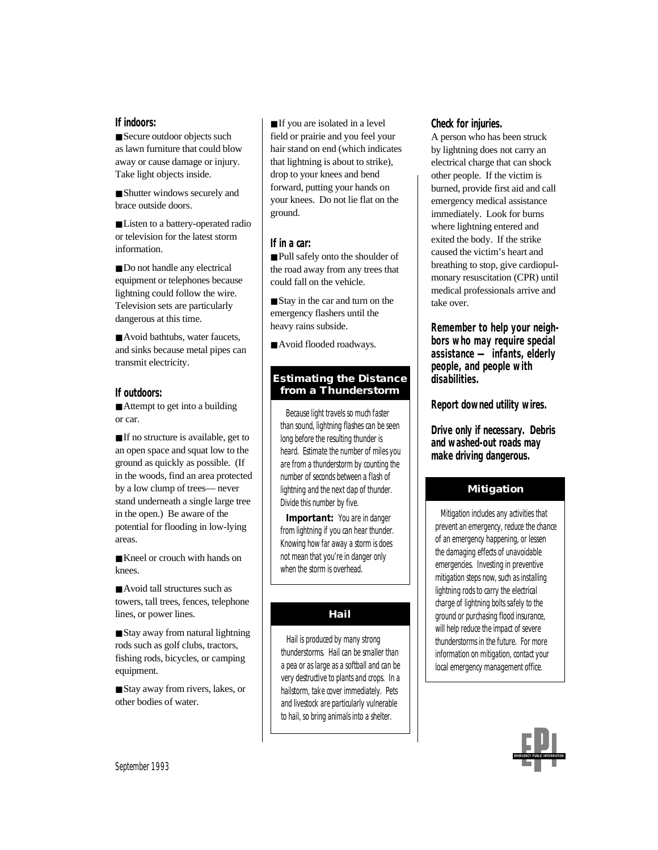### **If indoors:**

■ Secure outdoor objects such as lawn furniture that could blow away or cause damage or injury. Take light objects inside.

■ Shutter windows securely and brace outside doors.

■ Listen to a battery-operated radio or television for the latest storm information.

■ Do not handle any electrical equipment or telephones because lightning could follow the wire. Television sets are particularly dangerous at this time.

■ Avoid bathtubs, water faucets, and sinks because metal pipes can transmit electricity.

#### **If outdoors:**

■ Attempt to get into a building or car.

■ If no structure is available, get to an open space and squat low to the ground as quickly as possible. (If in the woods, find an area protected by a low clump of trees— never stand underneath a single large tree in the open.) Be aware of the potential for flooding in low-lying areas.

■ Kneel or crouch with hands on knees.

■ Avoid tall structures such as towers, tall trees, fences, telephone lines, or power lines.

■ Stay away from natural lightning rods such as golf clubs, tractors, fishing rods, bicycles, or camping equipment.

■ Stay away from rivers, lakes, or other bodies of water.

■ If you are isolated in a level field or prairie and you feel your hair stand on end (which indicates that lightning is about to strike), drop to your knees and bend forward, putting your hands on your knees. Do not lie flat on the ground.

## **If in a car:**

■ Pull safely onto the shoulder of the road away from any trees that could fall on the vehicle.

■ Stay in the car and turn on the emergency flashers until the heavy rains subside.

■ Avoid flooded roadways.

# **Estimating the Distance from a Thunderstorm**

Because light travels so much faster than sound, lightning flashes can be seen long before the resulting thunder is heard. Estimate the number of miles you are from a thunderstorm by counting the number of seconds between a flash of lightning and the next clap of thunder. Divide this number by five.

**Important:** You are in danger from lightning if you can hear thunder. Knowing how far away a storm is does not mean that you're in danger only when the storm is overhead.

# **Hail**

Hail is produced by many strong thunderstorms. Hail can be smaller than a pea or as large as a softball and can be very destructive to plants and crops. In a hailstorm, take cover immediately. Pets and livestock are particularly vulnerable to hail, so bring animals into a shelter.

### **Check for injuries.**

A person who has been struck by lightning does not carry an electrical charge that can shock other people. If the victim is burned, provide first aid and call emergency medical assistance immediately. Look for burns where lightning entered and exited the body. If the strike caused the victim's heart and breathing to stop, give cardiopulmonary resuscitation (CPR) until medical professionals arrive and take over.

**Remember to help your neighbors who may require special assistance — infants, elderly people, and people with disabilities.**

**Report downed utility wires.**

**Drive only if necessary. Debris and washed-out roads may make driving dangerous.**

# **Mitigation**

Mitigation includes any activities that prevent an emergency, reduce the chance of an emergency happening, or lessen the damaging effects of unavoidable emergencies. Investing in preventive mitigation steps now, such as installing lightning rods to carry the electrical charge of lightning bolts safely to the ground or purchasing flood insurance, will help reduce the impact of severe thunderstorms in the future. For more information on mitigation, contact your local emergency management office.

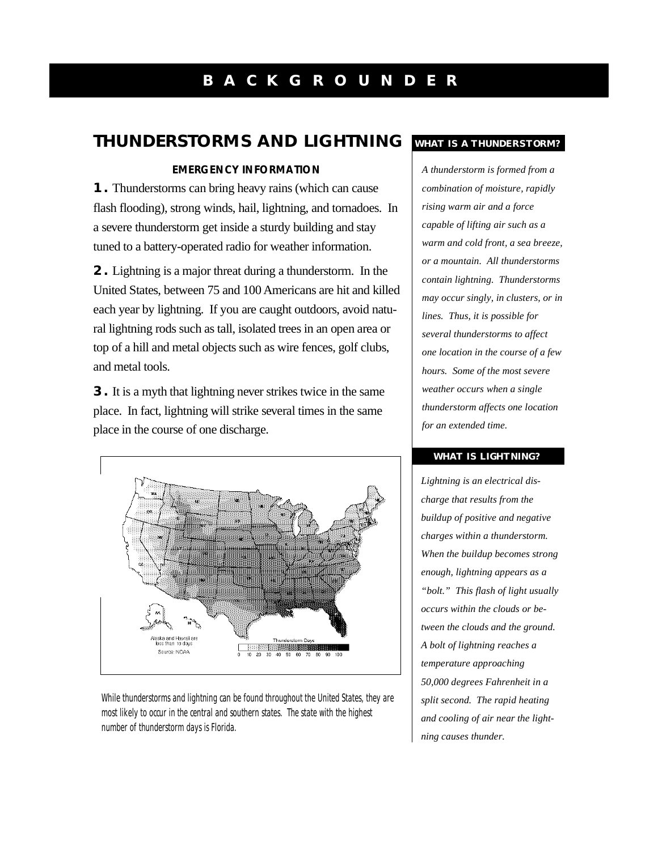# **B A C K G R O U N D E R**

# **THUNDERSTORMS AND LIGHTNING**

### **EMERGENCY INFORMATION**

**1.** Thunderstorms can bring heavy rains (which can cause flash flooding), strong winds, hail, lightning, and tornadoes. In a severe thunderstorm get inside a sturdy building and stay tuned to a battery-operated radio for weather information.

**2.** Lightning is a major threat during a thunderstorm. In the United States, between 75 and 100 Americans are hit and killed each year by lightning. If you are caught outdoors, avoid natural lightning rods such as tall, isolated trees in an open area or top of a hill and metal objects such as wire fences, golf clubs, and metal tools.

**3.** It is a myth that lightning never strikes twice in the same place. In fact, lightning will strike several times in the same place in the course of one discharge.



While thunderstorms and lightning can be found throughout the United States, they are most likely to occur in the central and southern states. The state with the highest number of thunderstorm days is Florida.

## **WHAT IS A THUNDERSTORM?**

*A thunderstorm is formed from a combination of moisture, rapidly rising warm air and a force capable of lifting air such as a warm and cold front, a sea breeze, or a mountain. All thunderstorms contain lightning. Thunderstorms may occur singly, in clusters, or in lines. Thus, it is possible for several thunderstorms to affect one location in the course of a few hours. Some of the most severe weather occurs when a single thunderstorm affects one location for an extended time.*

#### **WHAT IS LIGHTNING?**

*Lightning is an electrical discharge that results from the buildup of positive and negative charges within a thunderstorm. When the buildup becomes strong enough, lightning appears as a "bolt." This flash of light usually occurs within the clouds or between the clouds and the ground. A bolt of lightning reaches a temperature approaching 50,000 degrees Fahrenheit in a split second. The rapid heating and cooling of air near the lightning causes thunder.*